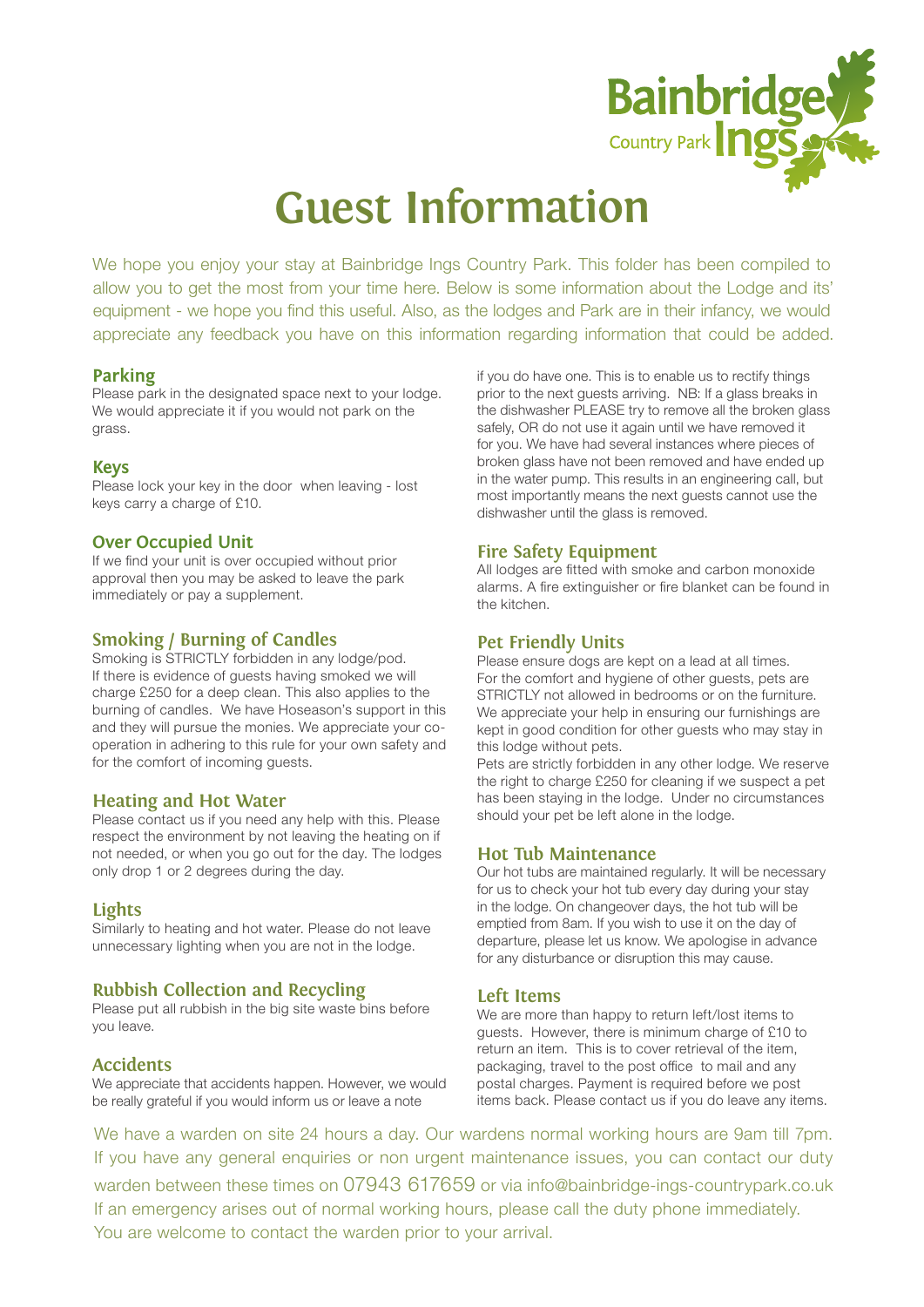

## **Guest Information**

We hope you enjoy your stay at Bainbridge Ings Country Park. This folder has been compiled to allow you to get the most from your time here. Below is some information about the Lodge and its' equipment - we hope you find this useful. Also, as the lodges and Park are in their infancy, we would appreciate any feedback you have on this information regarding information that could be added.

#### **Parking**

Please park in the designated space next to your lodge. We would appreciate it if you would not park on the grass.

#### **Keys**

Please lock your key in the door when leaving - lost keys carry a charge of £10.

#### **Over Occupied Unit**

If we find your unit is over occupied without prior approval then you may be asked to leave the park immediately or pay a supplement.

#### **Smoking / Burning of Candles**

Smoking is STRICTLY forbidden in any lodge/pod. If there is evidence of guests having smoked we will charge £250 for a deep clean. This also applies to the burning of candles. We have Hoseason's support in this and they will pursue the monies. We appreciate your cooperation in adhering to this rule for your own safety and for the comfort of incoming guests.

#### **Heating and Hot Water**

Please contact us if you need any help with this. Please respect the environment by not leaving the heating on if not needed, or when you go out for the day. The lodges only drop 1 or 2 degrees during the day.

#### **Lights**

Similarly to heating and hot water. Please do not leave unnecessary lighting when you are not in the lodge.

#### **Rubbish Collection and Recycling**

Please put all rubbish in the big site waste bins before you leave.

#### **Accidents**

We appreciate that accidents happen. However, we would be really grateful if you would inform us or leave a note

if you do have one. This is to enable us to rectify things prior to the next guests arriving. NB: If a glass breaks in the dishwasher PLEASE try to remove all the broken glass safely, OR do not use it again until we have removed it for you. We have had several instances where pieces of broken glass have not been removed and have ended up in the water pump. This results in an engineering call, but most importantly means the next guests cannot use the dishwasher until the glass is removed.

#### **Fire Safety Equipment**

All lodges are fitted with smoke and carbon monoxide alarms. A fire extinguisher or fire blanket can be found in the kitchen.

#### **Pet Friendly Units**

Please ensure dogs are kept on a lead at all times. For the comfort and hygiene of other guests, pets are STRICTLY not allowed in bedrooms or on the furniture. We appreciate your help in ensuring our furnishings are kept in good condition for other guests who may stay in this lodge without pets.

Pets are strictly forbidden in any other lodge. We reserve the right to charge £250 for cleaning if we suspect a pet has been staying in the lodge. Under no circumstances should your pet be left alone in the lodge.

#### **Hot Tub Maintenance**

Our hot tubs are maintained regularly. It will be necessary for us to check your hot tub every day during your stay in the lodge. On changeover days, the hot tub will be emptied from 8am. If you wish to use it on the day of departure, please let us know. We apologise in advance for any disturbance or disruption this may cause.

#### **Left Items**

We are more than happy to return left/lost items to guests. However, there is minimum charge of £10 to return an item. This is to cover retrieval of the item, packaging, travel to the post office to mail and any postal charges. Payment is required before we post items back. Please contact us if you do leave any items.

We have a warden on site 24 hours a day. Our wardens normal working hours are 9am till 7pm. If you have any general enquiries or non urgent maintenance issues, you can contact our duty warden between these times on 07943 617659 or via info@bainbridge-ings-countrypark.co.uk If an emergency arises out of normal working hours, please call the duty phone immediately. You are welcome to contact the warden prior to your arrival.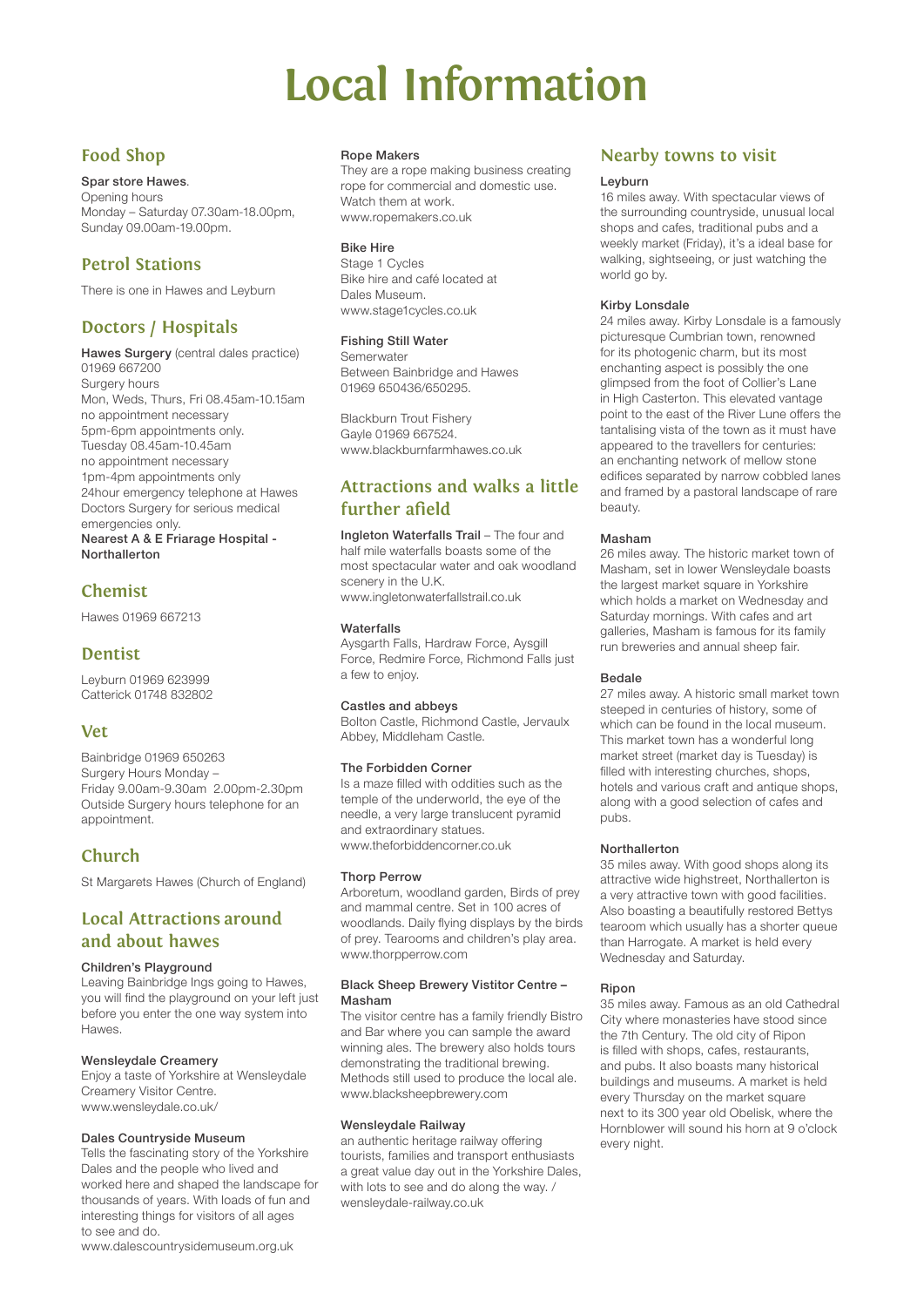## **Local Information**

## **Food Shop**

Spar store Hawes.

Opening hours Monday – Saturday 07.30am-18.00pm, Sunday 09.00am-19.00pm.

## **Petrol Stations**

There is one in Hawes and Leyburn

## **Doctors / Hospitals**

Hawes Surgery (central dales practice) 01969 667200 Surgery hours Mon, Weds, Thurs, Fri 08.45am-10.15am no appointment necessary 5pm-6pm appointments only. Tuesday 08.45am-10.45am no appointment necessary 1pm-4pm appointments only 24hour emergency telephone at Hawes Doctors Surgery for serious medical emergencies only.

Nearest A & E Friarage Hospital - Northallerton

## **Chemist**

Hawes 01969 667213

### **Dentist**

Leyburn 01969 623999 Catterick 01748 832802

## **Vet**

Bainbridge 01969 650263 Surgery Hours Monday – Friday 9.00am-9.30am 2.00pm-2.30pm Outside Surgery hours telephone for an appointment.

## **Church**

St Margarets Hawes (Church of England)

### **Local Attractions around and about hawes**

#### Children's Playground

Leaving Bainbridge Ings going to Hawes, you will find the playground on your left just before you enter the one way system into Hawes.

#### Wensleydale Creamery

Enjoy a taste of Yorkshire at Wensleydale Creamery Visitor Centre. www.wensleydale.co.uk/

#### Dales Countryside Museum

Tells the fascinating story of the Yorkshire Dales and the people who lived and worked here and shaped the landscape for thousands of years. With loads of fun and interesting things for visitors of all ages to see and do.

www.dalescountrysidemuseum.org.uk

#### Rope Makers

They are a rope making business creating rope for commercial and domestic use. Watch them at work. www.ropemakers.co.uk

#### Bike Hire

Stage 1 Cycles Bike hire and café located at Dales Museum. www.stage1cycles.co.uk

#### Fishing Still Water

Semerwater Between Bainbridge and Hawes 01969 650436/650295.

Blackburn Trout Fishery Gayle 01969 667524. www.blackburnfarmhawes.co.uk

## **Attractions and walks a little further afield**

Ingleton Waterfalls Trail – The four and half mile waterfalls boasts some of the most spectacular water and oak woodland scenery in the U.K. www.ingletonwaterfallstrail.co.uk

#### **Waterfalls**

Aysgarth Falls, Hardraw Force, Aysgill Force, Redmire Force, Richmond Falls just a few to enjoy.

#### Castles and abbeys

Bolton Castle, Richmond Castle, Jervaulx Abbey, Middleham Castle.

#### The Forbidden Corner

Is a maze filled with oddities such as the temple of the underworld, the eye of the needle, a very large translucent pyramid and extraordinary statues. www.theforbiddencorner.co.uk

#### Thorp Perrow

Arboretum, woodland garden, Birds of prey and mammal centre. Set in 100 acres of woodlands. Daily flying displays by the birds of prey. Tearooms and children's play area. www.thorpperrow.com

#### Black Sheep Brewery Vistitor Centre – Masham

The visitor centre has a family friendly Bistro and Bar where you can sample the award winning ales. The brewery also holds tours demonstrating the traditional brewing. Methods still used to produce the local ale. www.blacksheepbrewery.com

#### Wensleydale Railway

an authentic heritage railway offering tourists, families and transport enthusiasts a great value day out in the Yorkshire Dales, with lots to see and do along the way. / wensleydale-railway.co.uk

### **Nearby towns to visit**

#### Leyburn

16 miles away. With spectacular views of the surrounding countryside, unusual local shops and cafes, traditional pubs and a weekly market (Friday), it's a ideal base for walking, sightseeing, or just watching the world go by.

#### Kirby Lonsdale

24 miles away. Kirby Lonsdale is a famously picturesque Cumbrian town, renowned for its photogenic charm, but its most enchanting aspect is possibly the one glimpsed from the foot of Collier's Lane in High Casterton. This elevated vantage point to the east of the River Lune offers the tantalising vista of the town as it must have appeared to the travellers for centuries: an enchanting network of mellow stone edifices separated by narrow cobbled lanes and framed by a pastoral landscape of rare beauty.

#### Masham

26 miles away. The historic market town of Masham, set in lower Wensleydale boasts the largest market square in Yorkshire which holds a market on Wednesday and Saturday mornings. With cafes and art galleries, Masham is famous for its family run breweries and annual sheep fair.

#### Bedale

27 miles away. A historic small market town steeped in centuries of history, some of which can be found in the local museum. This market town has a wonderful long market street (market day is Tuesday) is filled with interesting churches, shops, hotels and various craft and antique shops, along with a good selection of cafes and pubs.

#### Northallerton

35 miles away. With good shops along its attractive wide highstreet, Northallerton is a very attractive town with good facilities. Also boasting a beautifully restored Bettys tearoom which usually has a shorter queue than Harrogate. A market is held every Wednesday and Saturday.

#### Ripon

35 miles away. Famous as an old Cathedral City where monasteries have stood since the 7th Century. The old city of Ripon is filled with shops, cafes, restaurants, and pubs. It also boasts many historical buildings and museums. A market is held every Thursday on the market square next to its 300 year old Obelisk, where the Hornblower will sound his horn at 9 o'clock every night.